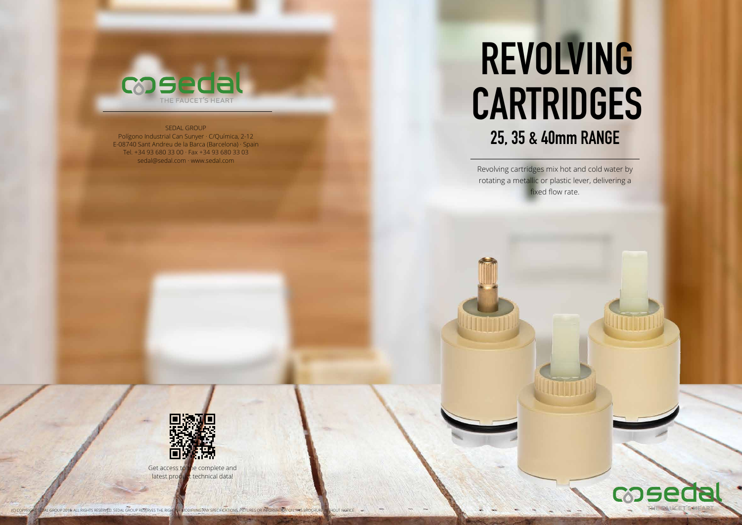Revolving cartridges mix hot and cold water by



rotating a metallic or plastic lever, delivering a fixed flow rate.



# **REVOLVING CARTRIDGES 25, 35 & 40mm RANGE**

Get access to the complete and latest product technical data!



#### SEDAL GROUP

Polígono Industrial Can Sunyer · C/Química, 2-12 E-08740 Sant Andreu de la Barca (Barcelona) · Spain Tel. +34 93 680 33 00 · Fax +34 93 680 33 03 sedal@sedal.com · www.sedal.com